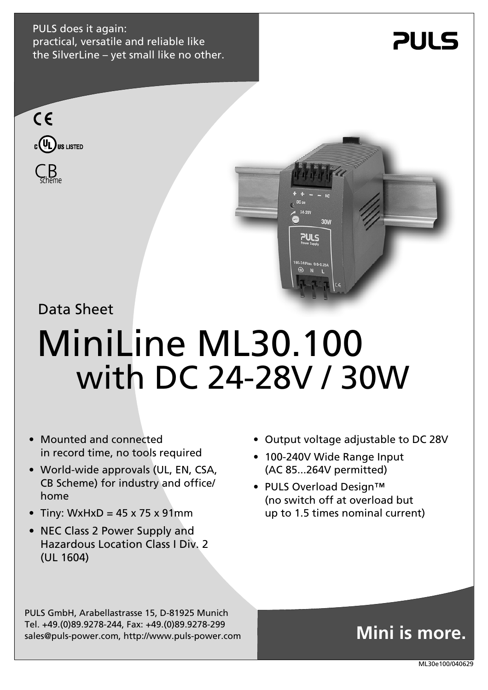PULS does it again: practical, versatile and reliable like the SilverLine – yet small like no other.







Data Sheet

# MiniLine ML30.100 with DC 24-28V / 30W

- Mounted and connected in record time, no tools required
- World-wide approvals (UL, EN, CSA, CB Scheme) for industry and office/ home
- Tiny: WxHxD =  $45 \times 75 \times 91$ mm
- NEC Class 2 Power Supply and Hazardous Location Class I Div. 2 (UL 1604)
- Output voltage adjustable to DC 28V
- 100-240V Wide Range Input (AC 85...264V permitted)
- PULS Overload Design™ (no switch off at overload but up to 1.5 times nominal current)

PULS GmbH, Arabellastrasse 15, D-81925 Munich Tel. +49.(0)89.9278-244, Fax: +49.(0)89.9278-299 sales@puls-power.com, http://www.puls-power.com

## **Mini is more.**